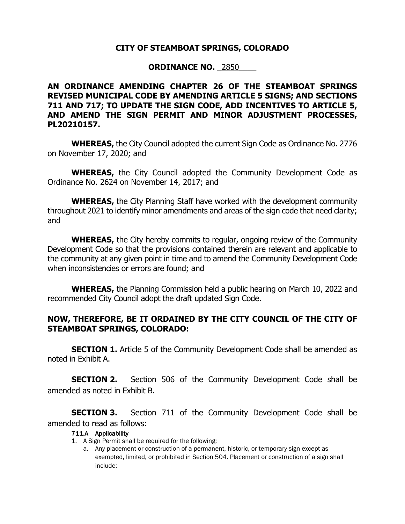# **CITY OF STEAMBOAT SPRINGS, COLORADO**

**ORDINANCE NO. 2850** 

**AN ORDINANCE AMENDING CHAPTER 26 OF THE STEAMBOAT SPRINGS REVISED MUNICIPAL CODE BY AMENDING ARTICLE 5 SIGNS; AND SECTIONS 711 AND 717; TO UPDATE THE SIGN CODE, ADD INCENTIVES TO ARTICLE 5, AND AMEND THE SIGN PERMIT AND MINOR ADJUSTMENT PROCESSES, PL20210157.** 

**WHEREAS,** the City Council adopted the current Sign Code as Ordinance No. 2776 on November 17, 2020; and

**WHEREAS,** the City Council adopted the Community Development Code as Ordinance No. 2624 on November 14, 2017; and

**WHEREAS,** the City Planning Staff have worked with the development community throughout 2021 to identify minor amendments and areas of the sign code that need clarity; and

**WHEREAS,** the City hereby commits to regular, ongoing review of the Community Development Code so that the provisions contained therein are relevant and applicable to the community at any given point in time and to amend the Community Development Code when inconsistencies or errors are found; and

**WHEREAS,** the Planning Commission held a public hearing on March 10, 2022 and recommended City Council adopt the draft updated Sign Code.

# **NOW, THEREFORE, BE IT ORDAINED BY THE CITY COUNCIL OF THE CITY OF STEAMBOAT SPRINGS, COLORADO:**

**SECTION 1.** Article 5 of the Community Development Code shall be amended as noted in Exhibit A.

**SECTION 2.** Section 506 of the Community Development Code shall be amended as noted in Exhibit B.

**SECTION 3.** Section 711 of the Community Development Code shall be amended to read as follows:

# 711.A Applicability

- 1. A Sign Permit shall be required for the following:
	- a. Any placement or construction of a permanent, historic, or temporary sign except as exempted, limited, or prohibited in Section 504. Placement or construction of a sign shall include: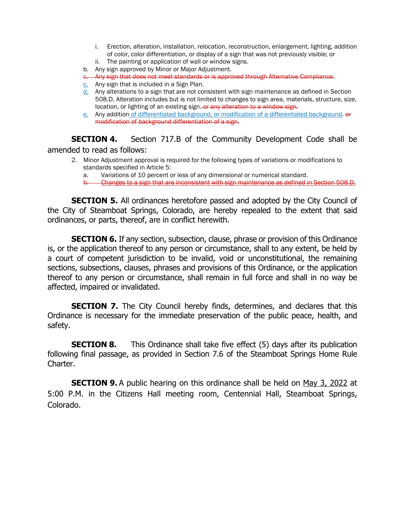- i. Erection, alteration, installation, relocation, reconstruction, enlargement, lighting, addition of color, color differentiation, or display of a sign that was not previously visible; or
- ii. The painting or application of wall or window signs.
- b. Any sign approved by Minor or Major Adjustment.
- c. Any sign that does not meet standards or is approved through Alternative Compliance.
- c. Any sign that is included in a Sign Plan.
- d. Any alterations to a sign that are not consistent with sign maintenance as defined in Section 508.D. Alteration includes but is not limited to changes to sign area, materials, structure, size, location, or lighting of an existing sign. or any alteration to a window sign.
- e. Any addition of differentiated background, or modification of a differentiated background.  $er$ modification of background differentiation of a sign.

**SECTION 4.** Section 717.B of the Community Development Code shall be amended to read as follows:

- 2. Minor Adjustment approval is required for the following types of variations or modifications to standards specified in Article 5:
	- a. Variations of 10 percent or less of any dimensional or numerical standard.
	- b. Changes to a sign that are

**SECTION 5.** All ordinances heretofore passed and adopted by the City Council of the City of Steamboat Springs, Colorado, are hereby repealed to the extent that said ordinances, or parts, thereof, are in conflict herewith.

**SECTION 6.** If any section, subsection, clause, phrase or provision of this Ordinance is, or the application thereof to any person or circumstance, shall to any extent, be held by a court of competent jurisdiction to be invalid, void or unconstitutional, the remaining sections, subsections, clauses, phrases and provisions of this Ordinance, or the application thereof to any person or circumstance, shall remain in full force and shall in no way be affected, impaired or invalidated.

**SECTION 7.** The City Council hereby finds, determines, and declares that this Ordinance is necessary for the immediate preservation of the public peace, health, and safety.

**SECTION 8.** This Ordinance shall take five effect (5) days after its publication following final passage, as provided in Section 7.6 of the Steamboat Springs Home Rule Charter.

**SECTION 9.** A public hearing on this ordinance shall be held on May 3, 2022 at 5:00 P.M. in the Citizens Hall meeting room, Centennial Hall, Steamboat Springs, Colorado.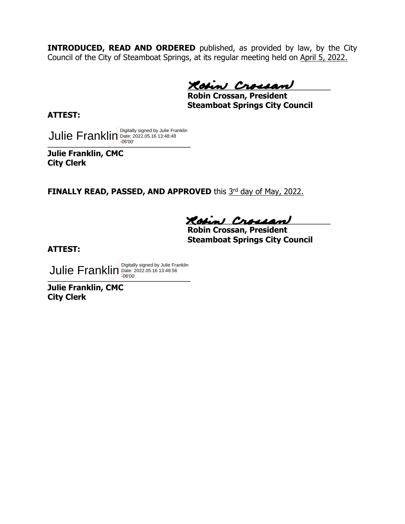**INTRODUCED, READ AND ORDERED** published, as provided by law, by the City Council of the City of Steamboat Springs, at its regular meeting held on April 5, 2022.

**Robin Crossan** 

**Robin Crossan, President Steamboat Springs City Council**

**ATTEST:**

 $\sim$   $-0600$ Julie Franklin Date: 2022.05.16 13:48:48 -06'00'

**Julie Franklin, CMC City Clerk**

**FINALLY READ, PASSED, AND APPROVED** this 3rd day of May, 2022.

\_\_\_\_\_\_\_\_\_\_\_\_\_\_\_\_\_\_\_\_\_\_\_\_\_\_\_\_\_\_\_\_\_

**Robin Crossan, President Steamboat Springs City Council**

**ATTEST:**

 $\sim$  -06'00' Julie Franklin Digitally signed by Julie Franklin -06'00'

**Julie Franklin, CMC City Clerk**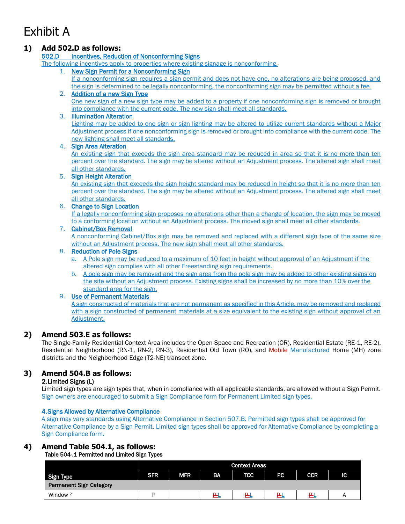# Exhibit A

# **1) Add 502.D as follows:**

## 502.D Incentives, Reduction of Nonconforming Signs

- The following incentives apply to properties where existing signage is nonconforming.
	- 1. New Sign Permit for a Nonconforming Sign If a nonconforming sign requires a sign permit and does not have one, no alterations are being proposed, and the sign is determined to be legally nonconforming, the nonconforming sign may be permitted without a fee.
	- 2. Addition of a new Sign Type One new sign of a new sign type may be added to a property if one nonconforming sign is removed or brought

into compliance with the current code. The new sign shall meet all standards.

# 3. Illumination Alteration

Lighting may be added to one sign or sign lighting may be altered to utilize current standards without a Major Adjustment process if one nonconforming sign is removed or brought into compliance with the current code. The new lighting shall meet all standards.

## 4. Sign Area Alteration

An existing sign that exceeds the sign area standard may be reduced in area so that it is no more than ten percent over the standard. The sign may be altered without an Adjustment process. The altered sign shall meet all other standards.

# 5. Sign Height Alteration

An existing sign that exceeds the sign height standard may be reduced in height so that it is no more than ten percent over the standard. The sign may be altered without an Adjustment process. The altered sign shall meet all other standards.

## 6. Change to Sign Location

If a legally nonconforming sign proposes no alterations other than a change of location, the sign may be moved to a conforming location without an Adjustment process. The moved sign shall meet all other standards.

## 7. Cabinet/Box Removal

A nonconforming Cabinet/Box sign may be removed and replaced with a different sign type of the same size without an Adjustment process. The new sign shall meet all other standards.

## 8. Reduction of Pole Signs

- a. A Pole sign may be reduced to a maximum of 10 feet in height without approval of an Adjustment if the altered sign complies with all other Freestanding sign requirements.
- b. A pole sign may be removed and the sign area from the pole sign may be added to other existing signs on the site without an Adjustment process. Existing signs shall be increased by no more than 10% over the standard area for the sign.

# 9. Use of Permanent Materials

A sign constructed of materials that are not permanent as specified in this Article, may be removed and replaced with a sign constructed of permanent materials at a size equivalent to the existing sign without approval of an Adjustment.

# **2) Amend 503.E as follows:**

The Single-Family Residential Context Area includes the Open Space and Recreation (OR), Residential Estate (RE-1, RE-2), Residential Neighborhood (RN-1, RN-2, RN-3), Residential Old Town (RO), and Mobile Manufactured Home (MH) zone districts and the Neighborhood Edge (T2-NE) transect zone.

# **3) Amend 504.B as follows:**

# 2. Limited Signs (L)

Limited sign types are sign types that, when in compliance with all applicable standards, are allowed without a Sign Permit. Sign owners are encouraged to submit a Sign Compliance form for Permanent Limited sign types.

# 4. Signs Allowed by Alternative Compliance

A sign may vary standards using Alternative Compliance in Section 507.B. Permitted sign types shall be approved for Alternative Compliance by a Sign Permit. Limited sign types shall be approved for Alternative Compliance by completing a Sign Compliance form.

# **4) Amend Table 504.1, as follows:**

Table 504-.1 Permitted and Limited Sign Types

|                         | <b>Context Areas</b> |     |           |                 |           |            |    |
|-------------------------|----------------------|-----|-----------|-----------------|-----------|------------|----|
| Sign Type               | <b>SFR</b>           | MFR | <b>BA</b> | TCC <sup></sup> | <b>PC</b> | <b>CCR</b> | IС |
| Permanent Sign Category |                      |     |           |                 |           |            |    |
| Window <sup>2</sup>     |                      |     | n         |                 |           | D.         |    |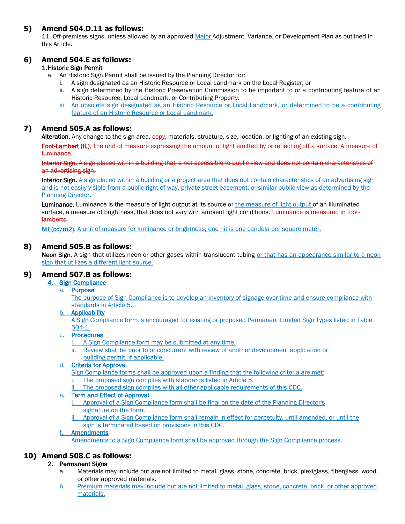# **5) Amend 504.D.11 as follows:**

11. Off-premises signs, unless allowed by an approved Major Adjustment, Variance, or Development Plan as outlined in this Article.

# **6) Amend 504.E as follows:**

# 1. Historic Sign Permit

- a. An Historic Sign Permit shall be issued by the Planning Director for:
	- i. A sign designated as an Historic Resource or Local Landmark on the Local Register; or
	- ii. A sign determined by the Historic Preservation Commission to be important to or a contributing feature of an Historic Resource, Local Landmark, or Contributing Property.
	- iii An obsolete sign designated as an Historic Resource or Local Landmark, or determined to be a contributing feature of an Historic Resource or Local Landmark.

# **7) Amend 505.A as follows:**

Alteration. Any change to the sign area, copy, materials, structure, size, location, or lighting of an existing sign.

Foot-Lambert (fL). The unit of measure expressing the amount of light emitted by or reflecting off a surface. A measure of luminance.

Interior Sign. A sign placed within a building that is not accessible to public view and does not contain characteristics of an advertising sign.

Interior Sign. A sign placed within a building or a project area that does not contain characteristics of an advertising sign and is not easily visible from a public right-of-way, private street easement, or similar public view as determined by the Planning Director.

Luminance. Luminance is the measure of light output at its source or the measure of light output of an illuminated surface, a measure of brightness, that does not vary with ambient light conditions. Luminance is measured in footlamberts.

Nit (cd/m2). A unit of measure for luminance or brightness, one nit is one candela per square meter.

# **8) Amend 505.B as follows:**

Neon Sign. A sign that utilizes neon or other gases within translucent tubing or that has an appearance similar to a neon sign that utilizes a different light source.

# **9) Amend 507.B as follows:**

- 4. Sign Compliance
	- a. Purpose

The purpose of Sign Compliance is to develop an inventory of signage over time and ensure compliance with standards in Article 5.

b. Applicability

A Sign Compliance form is encouraged for existing or proposed Permanent Limited Sign Types listed in Table 504-1.

- c. Procedures
	- A Sign Compliance form may be submitted at any time.
	- ii. Review shall be prior to or concurrent with review of another development application or building permit, if applicable.

# d. Criteria for Approval

Sign Compliance forms shall be approved upon a finding that the following criteria are met:

- The proposed sign complies with standards listed in Article 5.
- The proposed sign complies with all other applicable requirements of this CDC.

# e. Term and Effect of Approval

- i. Approval of a Sign Compliance form shall be final on the date of the Planning Director's signature on the form.
- ii. Approval of a Sign Compliance form shall remain in effect for perpetuity, until amended, or until the sign is terminated based on provisions in this CDC.

## **Amendments**

Amendments to a Sign Compliance form shall be approved through the Sign Compliance process.

# **10) Amend 508.C as follows:**

# 2. Permanent Signs

- a. Materials may include but are not limited to metal, glass, stone, concrete, brick, plexiglass, fiberglass, wood, or other approved materials.
- b. Premium materials may include but are not limited to metal, glass, stone, concrete, brick, or other approved materials.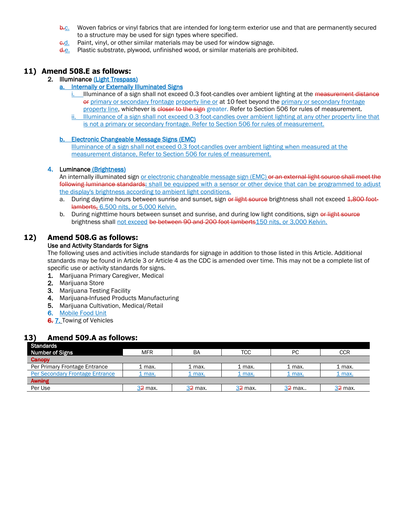- b.c. Woven fabrics or vinyl fabrics that are intended for long-term exterior use and that are permanently secured to a structure may be used for sign types where specified.
- e.d. Paint, vinyl, or other similar materials may be used for window signage.
- d.e. Plastic substrate, plywood, unfinished wood, or similar materials are prohibited.

# **11) Amend 508.E as follows:**

## 2. Illuminance (Light Trespass)

## a. Internally or Externally Illuminated Signs

- Illuminance of a sign shall not exceed 0.3 foot-candles over ambient lighting at the measurement distance or primary or secondary frontage property line or at 10 feet beyond the primary or secondary frontage property line, whichever is closer to the sign greater. Refer to Section 506 for rules of measurement.
- ii. Illuminance of a sign shall not exceed 0.3 foot-candles over ambient lighting at any other property line that is not a primary or secondary frontage. Refer to Section 506 for rules of measurement.

### b. Electronic Changeable Message Signs (EMC)

Illuminance of a sign shall not exceed 0.3 foot-candles over ambient lighting when measured at the measurement distance, Refer to Section 506 for rules of measurement.

## 4. Luminance (Brightness)

An internally illuminated sign or electronic changeable message sign (EMC) or an external light source shall meet the following luminance standards: shall be equipped with a sensor or other device that can be programmed to adjust the display's brightness according to ambient light conditions.

- a. During daytime hours between sunrise and sunset, sign or light source brightness shall not exceed 4,800 footlamberts, 6,500 nits, or 5,000 Kelvin.
- b. During nighttime hours between sunset and sunrise, and during low light conditions, sign or light source brightness shall not exceed be between 90 and 200 foot lamberts150 nits, or 3,000 Kelvin.

# **12) Amend 508.G as follows:**

## Use and Activity Standards for Signs

The following uses and activities include standards for signage in addition to those listed in this Article. Additional standards may be found in Article 3 or Article 4 as the CDC is amended over time. This may not be a complete list of specific use or activity standards for signs.

- 1. Marijuana Primary Caregiver, Medical
- 2. Marijuana Store
- 3. Marijuana Testing Facility
- 4. Marijuana-Infused Products Manufacturing
- 5. Marijuana Cultivation, Medical/Retail
- 6. Mobile Food Unit
- 6. 7. Towing of Vehicles

# **13) Amend 509.A as follows:**

| <b>Standards</b>                |            |           |         |        |         |
|---------------------------------|------------|-----------|---------|--------|---------|
| <b>Number of Signs</b>          | <b>MFR</b> | BA        | тсс     | PC     | CCR     |
| Canopy                          |            |           |         |        |         |
| Per Primary Frontage Entrance   | 1 max.     | 1 max.    | 1 max.  | 1 max. | 1 max.  |
| Per Secondary Frontage Entrance | 1 max.     | . max.    | '. max. | 1 max. | 1 max.  |
| <b>Awning</b>                   |            |           |         |        |         |
| Per Use                         | $32$ max.  | $32$ max. | 32 max. | 32 max | 32 max. |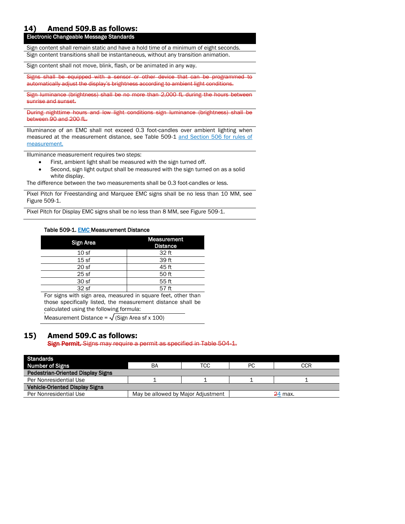# **14) Amend 509.B as follows:**

Electronic Changeable Message Standards

Sign content shall remain static and have a hold time of a minimum of eight seconds. Sign content transitions shall be instantaneous, without any transition animation.

Sign content shall not move, blink, flash, or be animated in any way.

Signs shall be equipped with a sensor or other device that can be programn automatically adjust the display's brightness according to ambient light conditions.

Sign luminance (brightness) shall be no more than 2,000 fL during the hours between sunrise and sunset.

During nighttime hours and low light conditions sign luminance (brightness) shall be between 90 and 200 fL.

Illuminance of an EMC shall not exceed 0.3 foot-candles over ambient lighting when measured at the measurement distance, see Table 509-1 and Section 506 for rules of measurement.

Illuminance measurement requires two steps:

- First, ambient light shall be measured with the sign turned off.
- Second, sign light output shall be measured with the sign turned on as a solid
- white display.

The difference between the two measurements shall be 0.3 foot-candles or less.

Pixel Pitch for Freestanding and Marquee EMC signs shall be no less than 10 MM, see Figure 509-1.

Pixel Pitch for Display EMC signs shall be no less than 8 MM, see Figure 509-1.

#### Table 509-1. **EMC Measurement Distance**

| <b>Sign Area</b> | <b>Measurement</b><br><b>Distance</b> |
|------------------|---------------------------------------|
| 10 <sub>sf</sub> | 32 ft                                 |
| 15sf             | 39 ft                                 |
| 20sf             | 45 ft                                 |
| 25sf             | 50 ft                                 |
| 30 sf            | 55 ft                                 |
| 32sf             | 57 ft                                 |

For signs with sign area, measured in square feet, other than those specifically listed, the measurement distance shall be calculated using the following formula:

 $\mathring{\mathsf{M}}$ easurement Distance =  $\sqrt{\mathop{\mathrm{(Sign\,Area\,sf\,} x\,100)}}$ 

## **15) Amend 509.C as follows:**

Sign Permit. Signs may require a permit as specified in Table 504-1.

| <b>Standards</b>                         |    |                                                 |    |            |  |  |  |
|------------------------------------------|----|-------------------------------------------------|----|------------|--|--|--|
| <b>Number of Signs</b>                   | BA | TCC                                             | РC | <b>CCR</b> |  |  |  |
| <b>Pedestrian-Oriented Display Signs</b> |    |                                                 |    |            |  |  |  |
| Per Nonresidential Use                   |    |                                                 |    |            |  |  |  |
| <b>Vehicle-Oriented Display Signs</b>    |    |                                                 |    |            |  |  |  |
| Per Nonresidential Use                   |    | May be allowed by Major Adjustment<br>$24$ max. |    |            |  |  |  |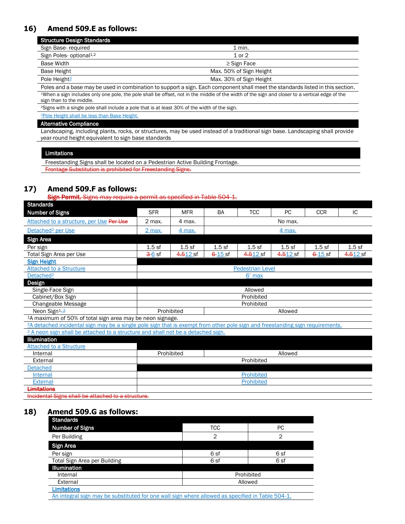# **16) Amend 509.E as follows:**

| <b>Structure Design Standards</b>   |                         |
|-------------------------------------|-------------------------|
| Sign Base-required                  | $1$ min.                |
| Sign Poles- optional <sup>1,2</sup> | $1$ or $2$              |
| Base Width                          | $\geq$ Sign Face        |
| Base Height                         | Max. 50% of Sign Height |
| Pole Height <sup>3</sup>            | Max. 30% of Sign Height |

Poles and a base may be used in combination to support a sign. Each component shall meet the standards listed in this section. <sup>1</sup>When a sign includes only one pole, the pole shall be offset, not in the middle of the width of the sign and closer to a vertical edge of the sign than to the middle.

<sup>2</sup>Signs with a single pole shall include a pole that is at least 30% of the width of the sign.

**3Pole Height shall be less than Base Height.** 

## Alternative Compliance

Landscaping, including plants, rocks, or structures, may be used instead of a traditional sign base. Landscaping shall provide year-round height equivalent to sign base standards

### Limitations

L

Freestanding Signs shall be located on a Pedestrian Active Building Frontage. Frontage Substitution is prohibited for Freestanding Signs.

## **17) Amend 509.F as follows:**

Sign Permit. Signs may require a permit as specified in Table 504-1.

| <b>Standards</b>                                                                                                              |                   |                         |             |                   |            |            |          |  |  |
|-------------------------------------------------------------------------------------------------------------------------------|-------------------|-------------------------|-------------|-------------------|------------|------------|----------|--|--|
| <b>Number of Signs</b>                                                                                                        | <b>SFR</b>        | <b>MFR</b>              | <b>BA</b>   | <b>TCC</b>        | <b>PC</b>  | <b>CCR</b> | IC       |  |  |
| Attached to a structure, per Use Per Use                                                                                      | 2 max.            | 4 max.                  |             |                   | No max.    |            |          |  |  |
| Detached <sup>2</sup> per Use                                                                                                 | 2 max.            | 4 max.                  |             |                   | 4 max.     |            |          |  |  |
| Sign Area                                                                                                                     |                   |                         |             |                   |            |            |          |  |  |
| Per sign                                                                                                                      | 1.5 <sub>sf</sub> | $1.5$ sf                | $1.5$ sf    | $1.5$ sf          | $1.5$ sf   | $1.5$ sf   | $1.5$ sf |  |  |
| Total Sign Area per Use                                                                                                       | $3-6$ sf          | $4.512$ sf              | $6 - 15$ sf | 4.512 sf          | $4.512$ sf | $6-15$ sf  | 4.512 sf |  |  |
| <b>Sign Height</b>                                                                                                            |                   |                         |             |                   |            |            |          |  |  |
| <b>Attached to a Structure</b>                                                                                                |                   | <b>Pedestrian Level</b> |             |                   |            |            |          |  |  |
| Detached <sup>2</sup>                                                                                                         | $6'$ max          |                         |             |                   |            |            |          |  |  |
| Design                                                                                                                        |                   |                         |             |                   |            |            |          |  |  |
| Single-Face Sign                                                                                                              | Allowed           |                         |             |                   |            |            |          |  |  |
| Cabinet/Box Sign                                                                                                              | Prohibited        |                         |             |                   |            |            |          |  |  |
| Changeable Message                                                                                                            |                   | Prohibited              |             |                   |            |            |          |  |  |
| Neon Sign <sup>1.3</sup>                                                                                                      |                   | Prohibited<br>Allowed   |             |                   |            |            |          |  |  |
| 1A maximum of 50% of total sign area may be neon signage.                                                                     |                   |                         |             |                   |            |            |          |  |  |
| 2A detached incidental sign may be a single pole sign that is exempt from other pole sign and freestanding sign requirements. |                   |                         |             |                   |            |            |          |  |  |
| <sup>3</sup> A neon sign shall be attached to a structure and shall not be a detached sign.                                   |                   |                         |             |                   |            |            |          |  |  |
| <b>Illumination</b>                                                                                                           |                   |                         |             |                   |            |            |          |  |  |
| <b>Attached to a Structure</b>                                                                                                |                   |                         |             |                   |            |            |          |  |  |
| Internal                                                                                                                      | Prohibited        |                         |             |                   | Allowed    |            |          |  |  |
| External                                                                                                                      |                   |                         |             | Prohibited        |            |            |          |  |  |
| Detached                                                                                                                      |                   |                         |             |                   |            |            |          |  |  |
| <b>Internal</b>                                                                                                               |                   |                         |             | <b>Prohibited</b> |            |            |          |  |  |
| <b>External</b>                                                                                                               |                   |                         |             | <b>Prohibited</b> |            |            |          |  |  |
| <b>Limitations</b>                                                                                                            |                   |                         |             |                   |            |            |          |  |  |

Incidental Signs shall be attached to a structure.

# **18) Amend 509.G as follows:**

| <b>Standards</b>             |                |      |  |  |
|------------------------------|----------------|------|--|--|
| <b>Number of Signs</b>       | <b>TCC</b>     | РC   |  |  |
| Per Building                 | $\overline{2}$ | 2    |  |  |
| Sign Area                    |                |      |  |  |
| Per sign                     | 6 sf           | 6 sf |  |  |
| Total Sign Area per Building | 6 sf           | 6 sf |  |  |
| <b>Illumination</b>          |                |      |  |  |
| Internal                     | Prohibited     |      |  |  |
| External                     | Allowed        |      |  |  |
| <b>Limitations</b>           |                |      |  |  |

An integral sign may be substituted for one wall sign where allowed as specified in Table 504-1.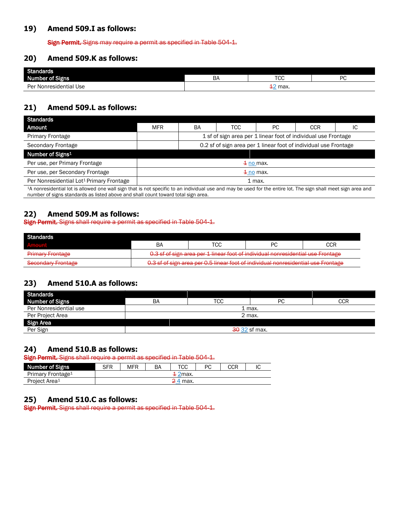# **19) Amend 509.I as follows:**

Sign Permit. Signs may require a permit as specified in Table 504-1.

# **20) Amend 509.K as follows:**

| <b>Standards</b>            |   |                     |    |
|-----------------------------|---|---------------------|----|
| of Signs<br>Number of       | B | $T^{\prime}$<br>◡   | n/ |
| Per<br>' Nonresidential Use |   | <b>42 max.</b><br>_ |    |

# **21) Amend 509.L as follows:**

| Standards                                            |            |                                                                  |     |        |            |    |  |  |
|------------------------------------------------------|------------|------------------------------------------------------------------|-----|--------|------------|----|--|--|
| Amount                                               | <b>MFR</b> | BA                                                               | TCC | PC.    | <b>CCR</b> | IC |  |  |
| <b>Primary Frontage</b>                              |            | 1 sf of sign area per 1 linear foot of individual use Frontage   |     |        |            |    |  |  |
| Secondary Frontage                                   |            | 0.2 sf of sign area per 1 linear foot of individual use Frontage |     |        |            |    |  |  |
| Number of Signs <sup>1</sup>                         |            |                                                                  |     |        |            |    |  |  |
| Per use, per Primary Frontage                        |            | $4$ no max.                                                      |     |        |            |    |  |  |
| Per use, per Secondary Frontage                      |            | $4$ no max.                                                      |     |        |            |    |  |  |
| Per Nonresidential Lot <sup>1</sup> Primary Frontage |            |                                                                  |     | 1 max. |            |    |  |  |
|                                                      |            |                                                                  |     |        |            |    |  |  |

<sup>1</sup>A nonresidential lot is allowed one wall sign that is not specific to an individual use and may be used for the entire lot. The sign shall meet sign area and number of signs standards as listed above and shall count toward total sign area.

# **22) Amend 509.M as follows:**

Sign Permit. Signs shall require a permit as specified in Table 504-1.

| Standards                                              |                                                                                                                                                                               |     |    |     |  |  |  |
|--------------------------------------------------------|-------------------------------------------------------------------------------------------------------------------------------------------------------------------------------|-----|----|-----|--|--|--|
| <b>TARACTER</b>                                        | ΒA                                                                                                                                                                            | тсс | מם | CCR |  |  |  |
| <b>Driman</b> Frontado<br><del>Fillnary Frontage</del> | 0.3 sf of sign area per 1 linear foot of individual nonresidential use Frontage                                                                                               |     |    |     |  |  |  |
| Secondary Frontade<br><del>ocoonuary montage</del>     | 0.3 ef of eign area nor 0.5 linear foot of individual nonresidential use Frontage<br><u>olo or or orgin area per olo imear root or imarviadal nomeolaeritian doe i romage</u> |     |    |     |  |  |  |

# **23) Amend 510.A as follows:**

| <b>Standards</b>       |               |     |    |            |  |  |  |
|------------------------|---------------|-----|----|------------|--|--|--|
| <b>Number of Signs</b> | BA            | TCC | PC | <b>CCR</b> |  |  |  |
| Per Nonresidential use | 1 max.        |     |    |            |  |  |  |
| Per Project Area       | 2 max.        |     |    |            |  |  |  |
| Sign Area              |               |     |    |            |  |  |  |
| Per Sign               | 30 32 sf max. |     |    |            |  |  |  |

# **24) Amend 510.B as follows:**

Sign Permit. Signs shall require a permit as specified in Table 504-1.

| <b>Number of Signs</b>        | SFR | MFR                | BΑ | тсс | РC | CCR | $\overline{1}$ |  |
|-------------------------------|-----|--------------------|----|-----|----|-----|----------------|--|
| Primary Frontage <sup>1</sup> |     | <del>1</del> 2max. |    |     |    |     |                |  |
| Project Area <sup>1</sup>     |     | <b>24 max.</b>     |    |     |    |     |                |  |

# **25) Amend 510.C as follows:**

Sign Permit. Signs shall require a permit as specified in Table 504-1.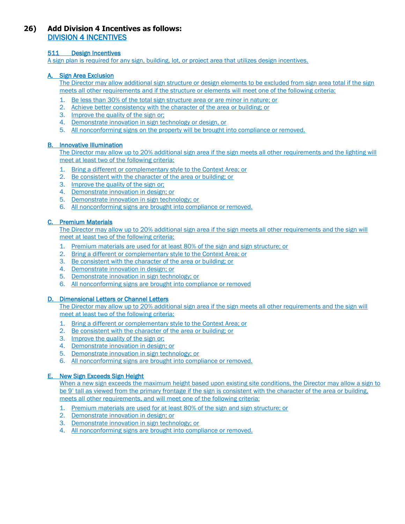# **26) Add Division 4 Incentives as follows:** DIVISION 4 INCENTIVES

## 511 Design Incentives

A sign plan is required for any sign, building, lot, or project area that utilizes design incentives.

## A. Sign Area Exclusion

The Director may allow additional sign structure or design elements to be excluded from sign area total if the sign meets all other requirements and if the structure or elements will meet one of the following criteria:

- 1. Be less than 30% of the total sign structure area or are minor in nature; or
- 2. Achieve better consistency with the character of the area or building; or
- 3. Improve the quality of the sign or;
- 4. Demonstrate innovation in sign technology or design, or
- 5. All nonconforming signs on the property will be brought into compliance or removed.

## B. Innovative Illumination

The Director may allow up to 20% additional sign area if the sign meets all other requirements and the lighting will meet at least two of the following criteria:

- 1. Bring a different or complementary style to the Context Area; or
- 2. Be consistent with the character of the area or building; or
- 3. Improve the quality of the sign or;
- 4. Demonstrate innovation in design; or
- 5. Demonstrate innovation in sign technology; or
- 6. All nonconforming signs are brought into compliance or removed.

## C. Premium Materials

The Director may allow up to 20% additional sign area if the sign meets all other requirements and the sign will meet at least two of the following criteria:

- 1. Premium materials are used for at least 80% of the sign and sign structure; or
- 2. Bring a different or complementary style to the Context Area; or
- 3. Be consistent with the character of the area or building; or
- 4. Demonstrate innovation in design; or
- 5. Demonstrate innovation in sign technology; or
- 6. All nonconforming signs are brought into compliance or removed

## D. Dimensional Letters or Channel Letters

The Director may allow up to 20% additional sign area if the sign meets all other requirements and the sign will meet at least two of the following criteria:

- 1. Bring a different or complementary style to the Context Area; or
- 2. Be consistent with the character of the area or building; or
- 3. Improve the quality of the sign or;
- 4. Demonstrate innovation in design; or
- 5. Demonstrate innovation in sign technology; or
- 6. All nonconforming signs are brought into compliance or removed.

## E. New Sign Exceeds Sign Height

When a new sign exceeds the maximum height based upon existing site conditions, the Director may allow a sign to be 9' tall as viewed from the primary frontage if the sign is consistent with the character of the area or building, meets all other requirements, and will meet one of the following criteria:

- 1. Premium materials are used for at least 80% of the sign and sign structure; or
- 2. Demonstrate innovation in design; or
- 3. Demonstrate innovation in sign technology; or
- 4. All nonconforming signs are brought into compliance or removed.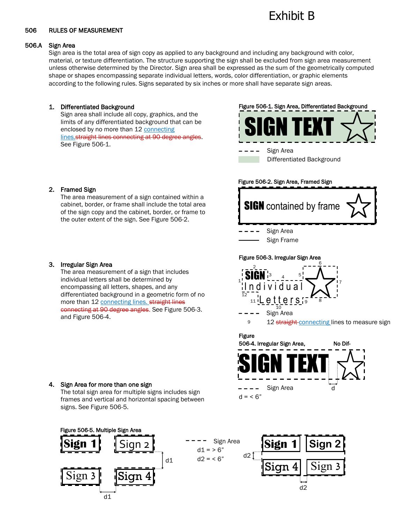# Exhibit B

## 506 RULES OF MEASUREMENT

## 506.A Sign Area

Sign area is the total area of sign copy as applied to any background and including any background with color, material, or texture differentiation. The structure supporting the sign shall be excluded from sign area measurement unless otherwise determined by the Director. Sign area shall be expressed as the sum of the geometrically computed shape or shapes encompassing separate individual letters, words, color differentiation, or graphic elements according to the following rules. Signs separated by six inches or more shall have separate sign areas.

## 1. Differentiated Background

Sign area shall include all copy, graphics, and the limits of any differentiated background that can be enclosed by no more than 12 connecting lines. straight lines connecting at 90 degree angles. See Figure 506-1.

## Figure 506-1. Sign Area, Differentiated Background



Differentiated Background



Figure 506-3. Irregular Sign Area

Sign Area Sign Frame

**SIGN** contained by frame

# 2. Framed Sign

The area measurement of a sign contained within a cabinet, border, or frame shall include the total area of the sign copy and the cabinet, border, or frame to the outer extent of the sign. See Figure 506-2.

## 3. Irregular Sign Area

The area measurement of a sign that includes individual letters shall be determined by encompassing all letters, shapes, and any differentiated background in a geometric form of no more than 12 connecting lines. straight lines connecting at 90 degree angles. See Figure 506-3. and Figure 506-4.

#### 9  $\frac{1}{1}$  sign <sup>3</sup> <sup>4</sup> <sup>5</sup>  $S<sub>19</sub>$ 10  $12$  11  $L$  etters  $Individual$ Sign Area

2

 $- - -$ 

12 straight connecting lines to measure sign

6





# 4. Sign Area for more than one sign

The total sign area for multiple signs includes sign frames and vertical and horizontal spacing between signs. See Figure 506-5.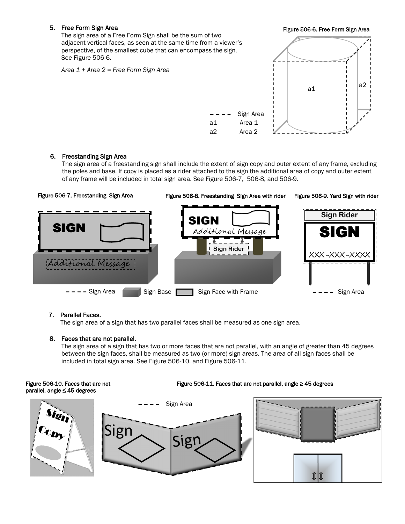## 5. Free Form Sign Area

The sign area of a Free Form Sign shall be the sum of two adjacent vertical faces, as seen at the same time from a viewer's perspective, of the smallest cube that can encompass the sign. See Figure 506-6.

*Area 1 + Area 2 = Free Form Sign Area*



## 6. Freestanding Sign Area

The sign area of a freestanding sign shall include the extent of sign copy and outer extent of any frame, excluding the poles and base. If copy is placed as a rider attached to the sign the additional area of copy and outer extent of any frame will be included in total sign area. See Figure 506-7, 506-8, and 506-9.

Figure 506-7. Freestanding Sign Area Figure 506-8. Freestanding Sign Area with rider

Figure 506-9. Yard Sign with rider



## 7. Parallel Faces.

The sign area of a sign that has two parallel faces shall be measured as one sign area.

## 8. Faces that are not parallel.

The sign area of a sign that has two or more faces that are not parallel, with an angle of greater than 45 degrees between the sign faces, shall be measured as two (or more) sign areas. The area of all sign faces shall be included in total sign area. See Figure 506-10. and Figure 506-11.

#### Figure 506-10. Faces that are not parallel, angle ≤ 45 degrees

Figure 506-11. Faces that are not parallel, angle  $\geq$  45 degrees

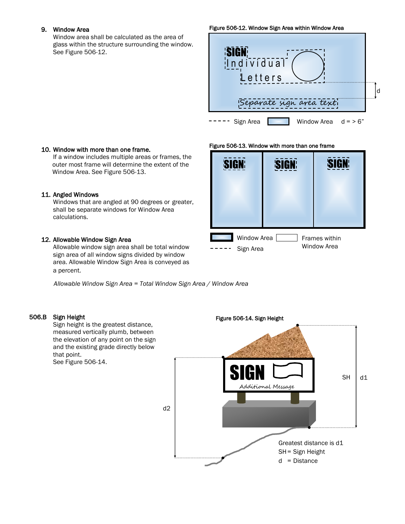## 9. Window Area

Window area shall be calculated as the area of glass within the structure surrounding the window. See Figure 506-12.

#### Figure 506-12. Window Sign Area within Window Area



### Figure 506-13. Window with more than one frame



## 10. Window with more than one frame.

If a window includes multiple areas or frames, the outer most frame will determine the extent of the Window Area. See Figure 506-13.

#### 11. Angled Windows

Windows that are angled at 90 degrees or greater, shall be separate windows for Window Area calculations.

## 12. Allowable Window Sign Area

Allowable window sign area shall be total window sign area of all window signs divided by window area. Allowable Window Sign Area is conveyed as a percent.

*Allowable Window Sign Area = Total Window Sign Area / Window Area*

## 506.B Sign Height

Sign height is the greatest distance, measured vertically plumb, between the elevation of any point on the sign and the existing grade directly below that point. See Figure 506-14.

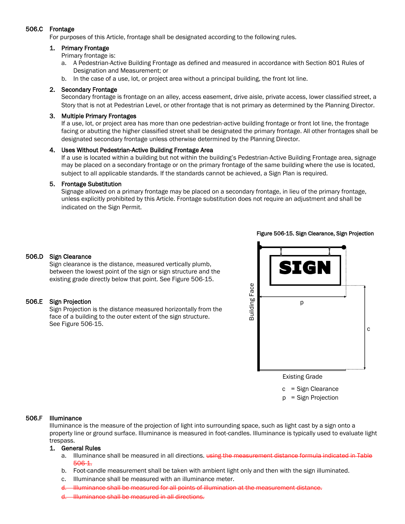# 506.C Frontage

For purposes of this Article, frontage shall be designated according to the following rules.

### 1. Primary Frontage

Primary frontage is:

- a. A Pedestrian-Active Building Frontage as defined and measured in accordance with Section 801 Rules of Designation and Measurement; or
- b. In the case of a use, lot, or project area without a principal building, the front lot line.

## 2. Secondary Frontage

Secondary frontage is frontage on an alley, access easement, drive aisle, private access, lower classified street, a Story that is not at Pedestrian Level, or other frontage that is not primary as determined by the Planning Director.

#### 3. Multiple Primary Frontages

If a use, lot, or project area has more than one pedestrian-active building frontage or front lot line, the frontage facing or abutting the higher classified street shall be designated the primary frontage. All other frontages shall be designated secondary frontage unless otherwise determined by the Planning Director.

#### 4. Uses Without Pedestrian-Active Building Frontage Area

If a use is located within a building but not within the building's Pedestrian-Active Building Frontage area, signage may be placed on a secondary frontage or on the primary frontage of the same building where the use is located, subject to all applicable standards. If the standards cannot be achieved, a Sign Plan is required.

### 5. Frontage Substitution

Signage allowed on a primary frontage may be placed on a secondary frontage, in lieu of the primary frontage, unless explicitly prohibited by this Article. Frontage substitution does not require an adjustment and shall be indicated on the Sign Permit.

### Figure 506-15. Sign Clearance, Sign Projection

### 506.D Sign Clearance

Sign clearance is the distance, measured vertically plumb, between the lowest point of the sign or sign structure and the existing grade directly below that point. See Figure 506-15.

#### 506.E Sign Projection

 Sign Projection is the distance measured horizontally from the face of a building to the outer extent of the sign structure. See Figure 506-15.



Existing Grade

c = Sign Clearance

p = Sign Projection

## 506.F Illuminance

Illuminance is the measure of the projection of light into surrounding space, such as light cast by a sign onto a property line or ground surface. Illuminance is measured in foot-candles. Illuminance is typically used to evaluate light trespass.

## 1. General Rules

- a. Illuminance shall be measured in all directions. using the measurement distance formula indicated in Table 506-1.
- b. Foot-candle measurement shall be taken with ambient light only and then with the sign illuminated.
- c. Illuminance shall be measured with an illuminance meter.
- d. Illuminance shall be measured for all points of illumination at the measurement distance.
- d. Illuminance shall be measured in all directions.